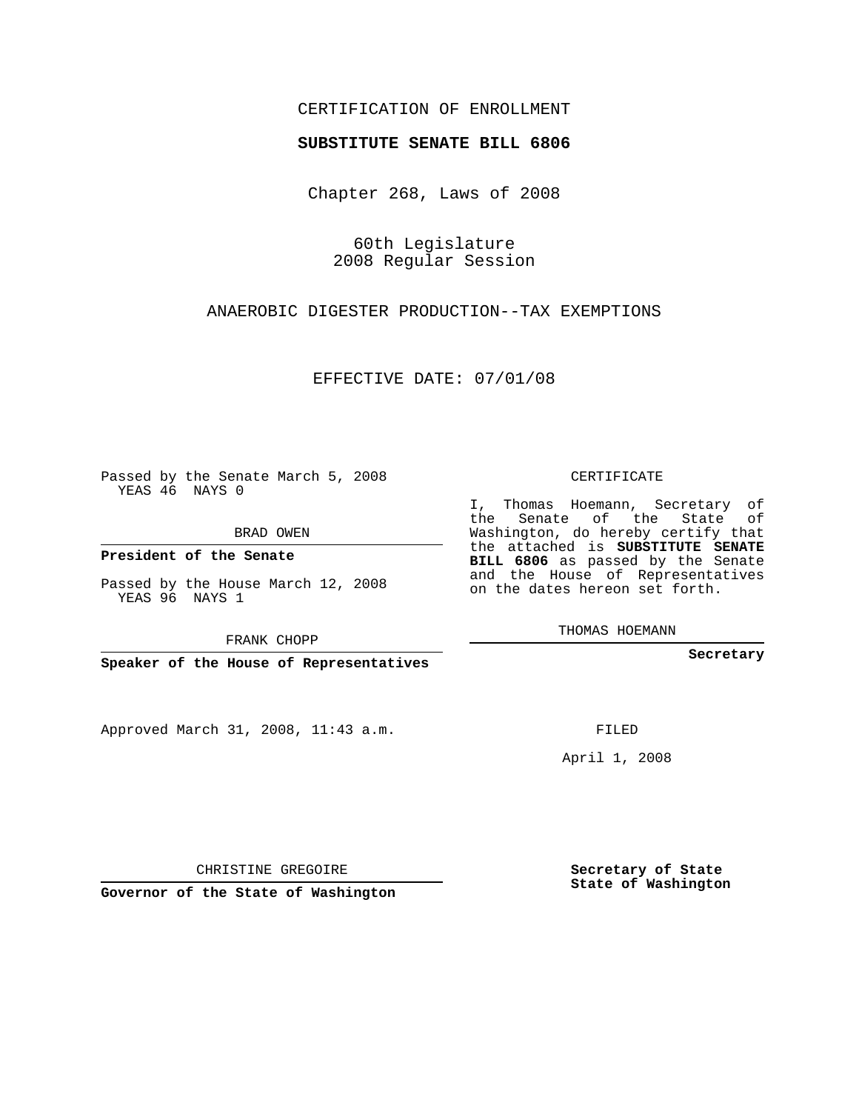## CERTIFICATION OF ENROLLMENT

### **SUBSTITUTE SENATE BILL 6806**

Chapter 268, Laws of 2008

60th Legislature 2008 Regular Session

ANAEROBIC DIGESTER PRODUCTION--TAX EXEMPTIONS

EFFECTIVE DATE: 07/01/08

Passed by the Senate March 5, 2008 YEAS 46 NAYS 0

BRAD OWEN

**President of the Senate**

Passed by the House March 12, 2008 YEAS 96 NAYS 1

FRANK CHOPP

**Speaker of the House of Representatives**

Approved March 31, 2008, 11:43 a.m.

CERTIFICATE

I, Thomas Hoemann, Secretary of the Senate of the State of Washington, do hereby certify that the attached is **SUBSTITUTE SENATE BILL 6806** as passed by the Senate and the House of Representatives on the dates hereon set forth.

THOMAS HOEMANN

**Secretary**

FILED

April 1, 2008

**Secretary of State State of Washington**

CHRISTINE GREGOIRE

**Governor of the State of Washington**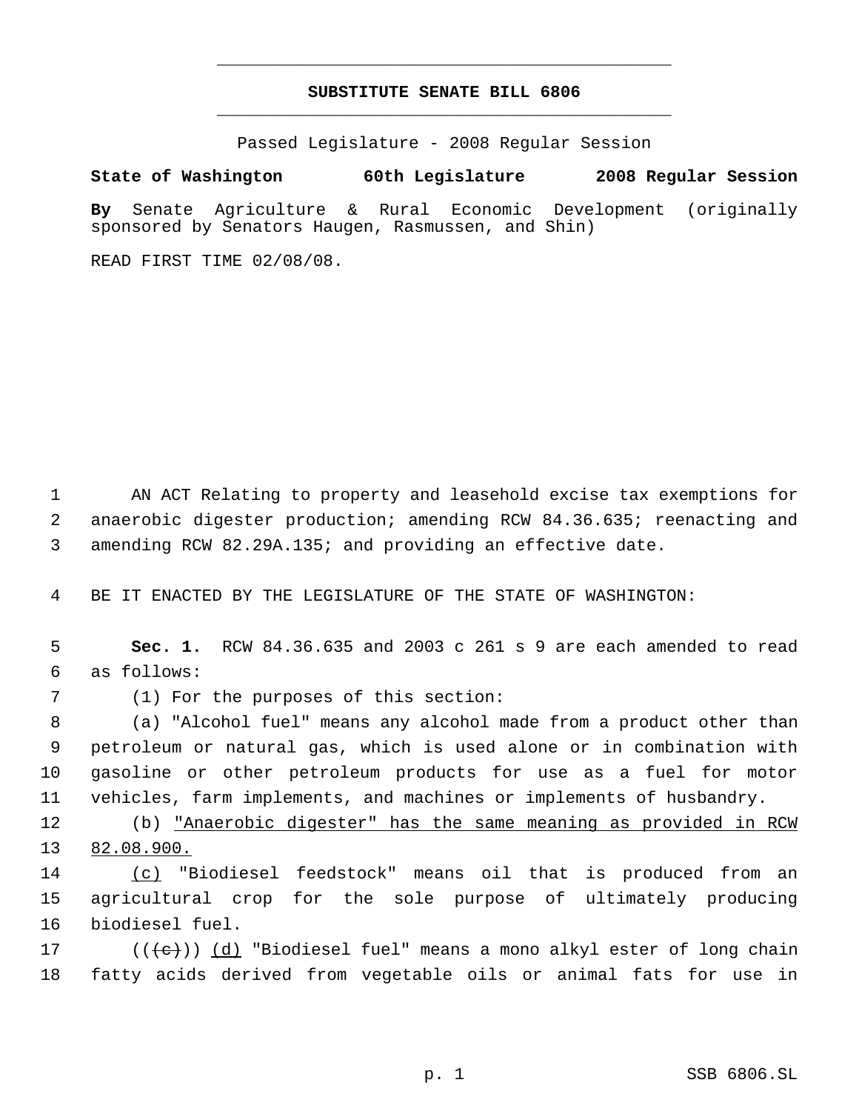# **SUBSTITUTE SENATE BILL 6806** \_\_\_\_\_\_\_\_\_\_\_\_\_\_\_\_\_\_\_\_\_\_\_\_\_\_\_\_\_\_\_\_\_\_\_\_\_\_\_\_\_\_\_\_\_

\_\_\_\_\_\_\_\_\_\_\_\_\_\_\_\_\_\_\_\_\_\_\_\_\_\_\_\_\_\_\_\_\_\_\_\_\_\_\_\_\_\_\_\_\_

Passed Legislature - 2008 Regular Session

### **State of Washington 60th Legislature 2008 Regular Session**

**By** Senate Agriculture & Rural Economic Development (originally sponsored by Senators Haugen, Rasmussen, and Shin)

READ FIRST TIME 02/08/08.

 AN ACT Relating to property and leasehold excise tax exemptions for anaerobic digester production; amending RCW 84.36.635; reenacting and amending RCW 82.29A.135; and providing an effective date.

BE IT ENACTED BY THE LEGISLATURE OF THE STATE OF WASHINGTON:

 **Sec. 1.** RCW 84.36.635 and 2003 c 261 s 9 are each amended to read as follows:

(1) For the purposes of this section:

 (a) "Alcohol fuel" means any alcohol made from a product other than petroleum or natural gas, which is used alone or in combination with gasoline or other petroleum products for use as a fuel for motor vehicles, farm implements, and machines or implements of husbandry.

 (b) "Anaerobic digester" has the same meaning as provided in RCW 82.08.900.

 (c) "Biodiesel feedstock" means oil that is produced from an agricultural crop for the sole purpose of ultimately producing biodiesel fuel.

17 ( $(\langle e \rangle)$ ) (d) "Biodiesel fuel" means a mono alkyl ester of long chain fatty acids derived from vegetable oils or animal fats for use in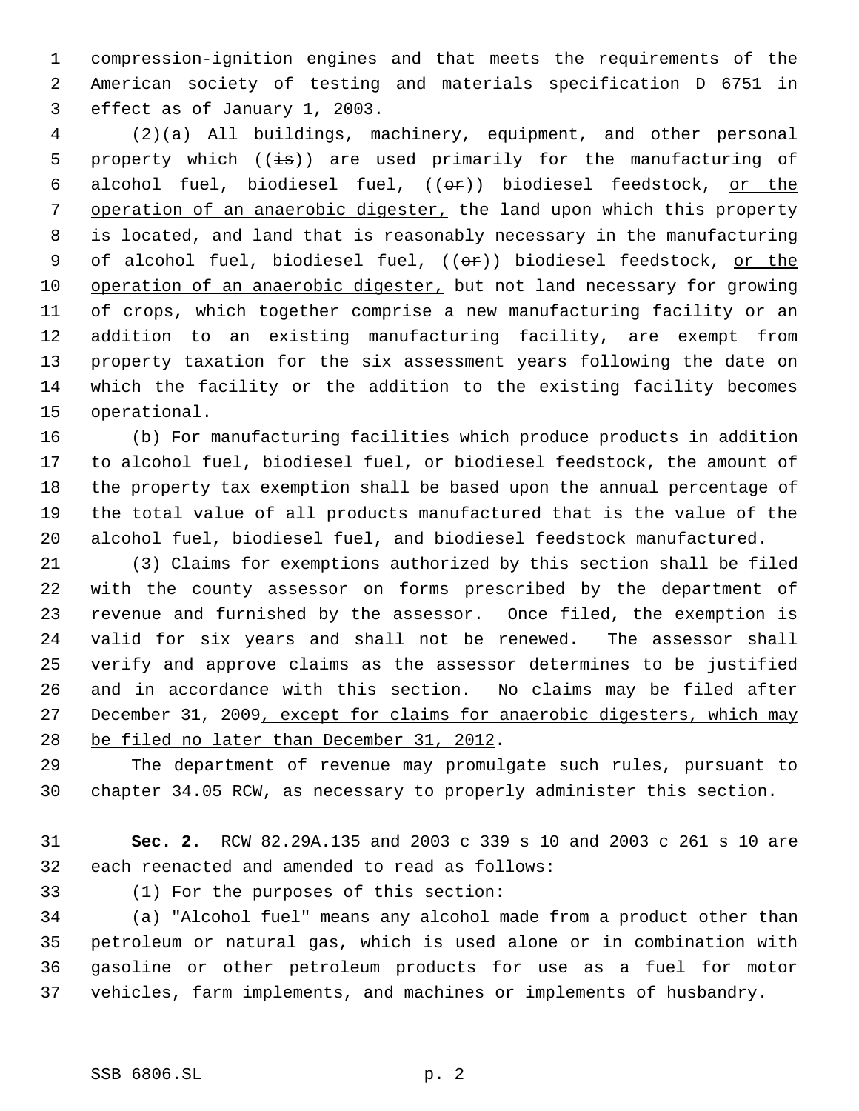compression-ignition engines and that meets the requirements of the American society of testing and materials specification D 6751 in effect as of January 1, 2003.

 (2)(a) All buildings, machinery, equipment, and other personal 5 property which  $((\frac{1}{15}))$  are used primarily for the manufacturing of 6 alcohol fuel, biodiesel fuel,  $((\theta \cdot \hat{r}))$  biodiesel feedstock, or the 7 operation of an anaerobic digester, the land upon which this property is located, and land that is reasonably necessary in the manufacturing 9 of alcohol fuel, biodiesel fuel, ((or)) biodiesel feedstock, or the 10 operation of an anaerobic digester, but not land necessary for growing of crops, which together comprise a new manufacturing facility or an addition to an existing manufacturing facility, are exempt from property taxation for the six assessment years following the date on which the facility or the addition to the existing facility becomes operational.

 (b) For manufacturing facilities which produce products in addition to alcohol fuel, biodiesel fuel, or biodiesel feedstock, the amount of the property tax exemption shall be based upon the annual percentage of the total value of all products manufactured that is the value of the alcohol fuel, biodiesel fuel, and biodiesel feedstock manufactured.

 (3) Claims for exemptions authorized by this section shall be filed with the county assessor on forms prescribed by the department of revenue and furnished by the assessor. Once filed, the exemption is valid for six years and shall not be renewed. The assessor shall verify and approve claims as the assessor determines to be justified and in accordance with this section. No claims may be filed after 27 December 31, 2009, except for claims for anaerobic digesters, which may be filed no later than December 31, 2012.

 The department of revenue may promulgate such rules, pursuant to chapter 34.05 RCW, as necessary to properly administer this section.

 **Sec. 2.** RCW 82.29A.135 and 2003 c 339 s 10 and 2003 c 261 s 10 are each reenacted and amended to read as follows:

(1) For the purposes of this section:

 (a) "Alcohol fuel" means any alcohol made from a product other than petroleum or natural gas, which is used alone or in combination with gasoline or other petroleum products for use as a fuel for motor vehicles, farm implements, and machines or implements of husbandry.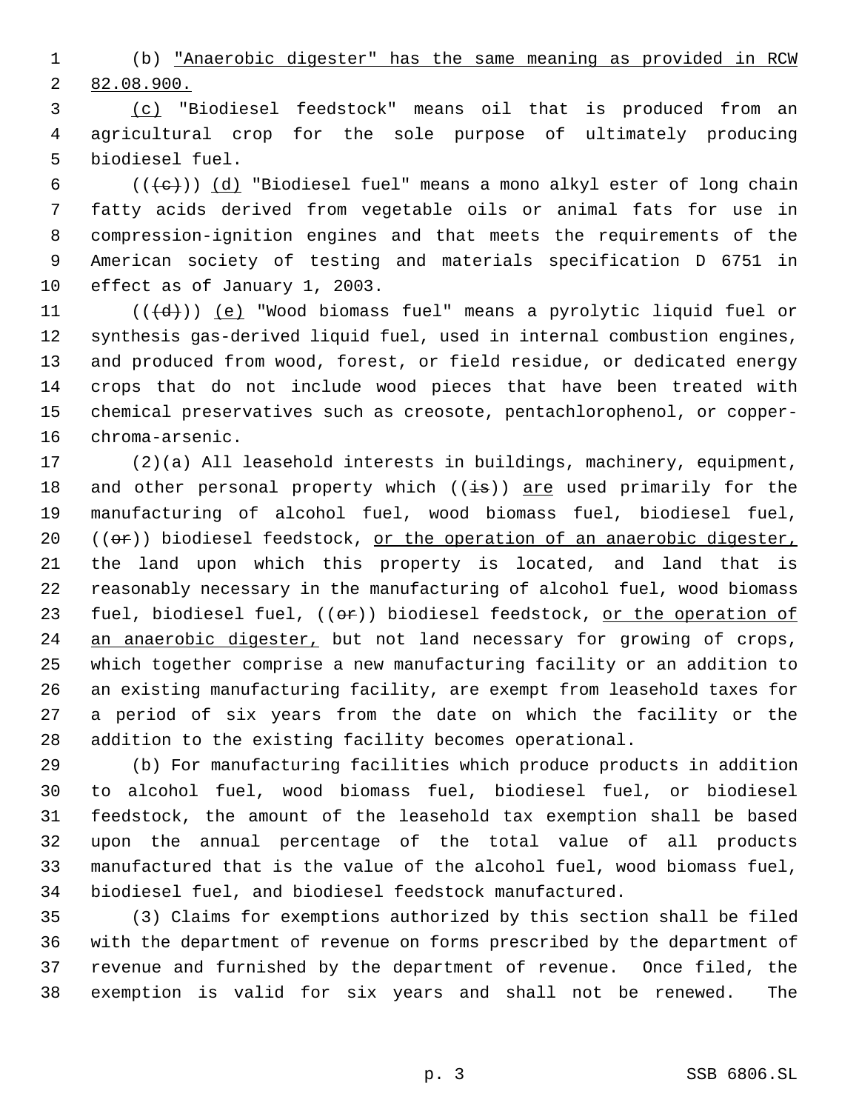(b) "Anaerobic digester" has the same meaning as provided in RCW 82.08.900.

 (c) "Biodiesel feedstock" means oil that is produced from an agricultural crop for the sole purpose of ultimately producing biodiesel fuel.

6 ( $(\langle e \rangle)$ ) (d) "Biodiesel fuel" means a mono alkyl ester of long chain fatty acids derived from vegetable oils or animal fats for use in compression-ignition engines and that meets the requirements of the American society of testing and materials specification D 6751 in effect as of January 1, 2003.

 $((\{d\})$  (e) "Wood biomass fuel" means a pyrolytic liquid fuel or synthesis gas-derived liquid fuel, used in internal combustion engines, and produced from wood, forest, or field residue, or dedicated energy crops that do not include wood pieces that have been treated with chemical preservatives such as creosote, pentachlorophenol, or copper-chroma-arsenic.

 (2)(a) All leasehold interests in buildings, machinery, equipment, 18 and other personal property which  $((\frac{1}{18}))$  are used primarily for the manufacturing of alcohol fuel, wood biomass fuel, biodiesel fuel,  $((\sigma \cdot \dot{\sigma}))$  biodiesel feedstock, or the operation of an anaerobic digester, the land upon which this property is located, and land that is reasonably necessary in the manufacturing of alcohol fuel, wood biomass 23 fuel, biodiesel fuel, ((or)) biodiesel feedstock, or the operation of 24 an anaerobic digester, but not land necessary for growing of crops, which together comprise a new manufacturing facility or an addition to an existing manufacturing facility, are exempt from leasehold taxes for a period of six years from the date on which the facility or the addition to the existing facility becomes operational.

 (b) For manufacturing facilities which produce products in addition to alcohol fuel, wood biomass fuel, biodiesel fuel, or biodiesel feedstock, the amount of the leasehold tax exemption shall be based upon the annual percentage of the total value of all products manufactured that is the value of the alcohol fuel, wood biomass fuel, biodiesel fuel, and biodiesel feedstock manufactured.

 (3) Claims for exemptions authorized by this section shall be filed with the department of revenue on forms prescribed by the department of revenue and furnished by the department of revenue. Once filed, the exemption is valid for six years and shall not be renewed. The